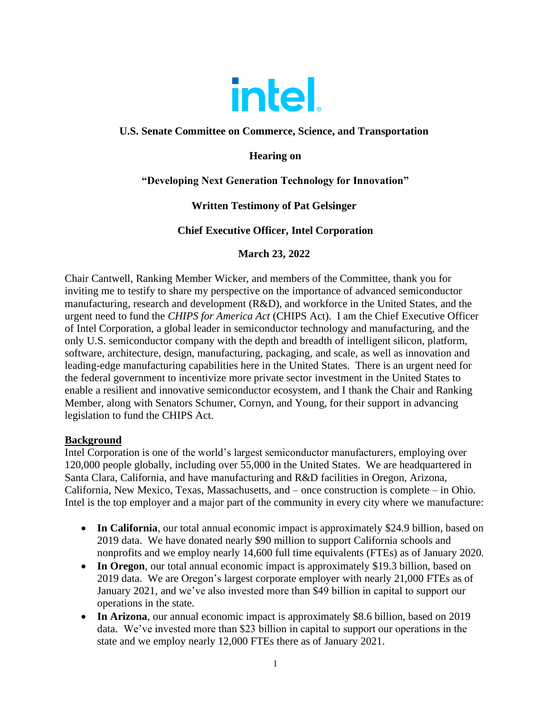

## **U.S. Senate Committee on Commerce, Science, and Transportation**

# **Hearing on**

# **"Developing Next Generation Technology for Innovation"**

# **Written Testimony of Pat Gelsinger**

# **Chief Executive Officer, Intel Corporation**

## **March 23, 2022**

Chair Cantwell, Ranking Member Wicker, and members of the Committee, thank you for inviting me to testify to share my perspective on the importance of advanced semiconductor manufacturing, research and development (R&D), and workforce in the United States, and the urgent need to fund the *CHIPS for America Act* (CHIPS Act). I am the Chief Executive Officer of Intel Corporation, a global leader in semiconductor technology and manufacturing, and the only U.S. semiconductor company with the depth and breadth of intelligent silicon, platform, software, architecture, design, manufacturing, packaging, and scale, as well as innovation and leading-edge manufacturing capabilities here in the United States. There is an urgent need for the federal government to incentivize more private sector investment in the United States to enable a resilient and innovative semiconductor ecosystem, and I thank the Chair and Ranking Member, along with Senators Schumer, Cornyn, and Young, for their support in advancing legislation to fund the CHIPS Act.

## **Background**

Intel Corporation is one of the world's largest semiconductor manufacturers, employing over 120,000 people globally, including over 55,000 in the United States. We are headquartered in Santa Clara, California, and have manufacturing and R&D facilities in Oregon, Arizona, California, New Mexico, Texas, Massachusetts, and – once construction is complete – in Ohio. Intel is the top employer and a major part of the community in every city where we manufacture:

- In California, our total annual economic impact is approximately \$24.9 billion, based on 2019 data. We have donated nearly \$90 million to support California schools and nonprofits and we employ nearly 14,600 full time equivalents (FTEs) as of January 2020.
- In Oregon, our total annual economic impact is approximately \$19.3 billion, based on 2019 data. We are Oregon's largest corporate employer with nearly 21,000 FTEs as of January 2021, and we've also invested more than \$49 billion in capital to support our operations in the state.
- In Arizona, our annual economic impact is approximately \$8.6 billion, based on 2019 data. We've invested more than \$23 billion in capital to support our operations in the state and we employ nearly 12,000 FTEs there as of January 2021.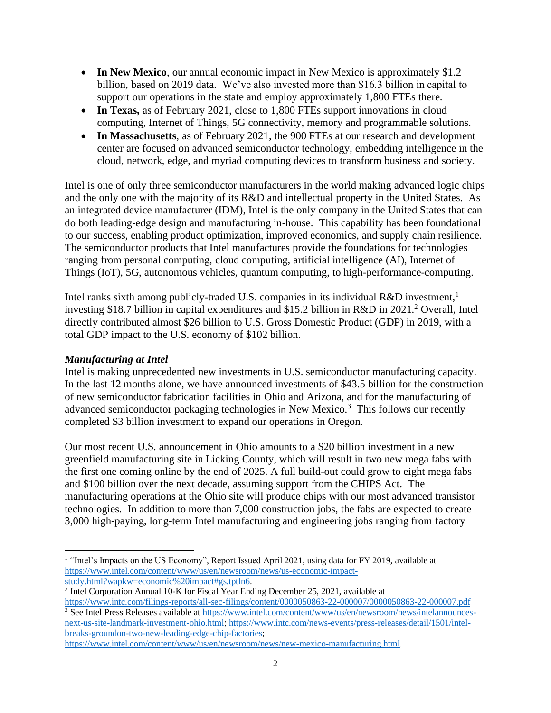- In New Mexico, our annual economic impact in New Mexico is approximately \$1.2 billion, based on 2019 data. We've also invested more than \$16.3 billion in capital to support our operations in the state and employ approximately 1,800 FTEs there.
- In Texas, as of February 2021, close to 1,800 FTEs support innovations in cloud computing, Internet of Things, 5G connectivity, memory and programmable solutions.
- In Massachusetts, as of February 2021, the 900 FTEs at our research and development center are focused on advanced semiconductor technology, embedding intelligence in the cloud, network, edge, and myriad computing devices to transform business and society.

Intel is one of only three semiconductor manufacturers in the world making advanced logic chips and the only one with the majority of its R&D and intellectual property in the United States. As an integrated device manufacturer (IDM), Intel is the only company in the United States that can do both leading-edge design and manufacturing in-house. This capability has been foundational to our success, enabling product optimization, improved economics, and supply chain resilience. The semiconductor products that Intel manufactures provide the foundations for technologies ranging from personal computing, cloud computing, artificial intelligence (AI), Internet of Things (IoT), 5G, autonomous vehicles, quantum computing, to high-performance-computing.

Intel ranks sixth among publicly-traded U.S. companies in its individual R&D investment,<sup>1</sup> investing \$18.7 billion in capital expenditures and \$15.2 billion in R&D in 2021. <sup>2</sup> Overall, Intel directly contributed almost \$26 billion to U.S. Gross Domestic Product (GDP) in 2019, with a total GDP impact to the U.S. economy of \$102 billion.

## *Manufacturing at Intel*

Intel is making unprecedented new investments in U.S. semiconductor manufacturing capacity. In the last 12 months alone, we have announced investments of \$43.5 billion for the construction of new semiconductor fabrication facilities in Ohio and Arizona, and for the manufacturing of advanced semiconductor packaging technologies in New Mexico.<sup>3</sup> This follows our recently completed \$3 billion investment to expand our operations in Oregon.

Our most recent U.S. announcement in Ohio amounts to a \$20 billion investment in a new greenfield manufacturing site in Licking County, which will result in two new mega fabs with the first one coming online by the end of 2025. A full build-out could grow to eight mega fabs and \$100 billion over the next decade, assuming support from the CHIPS Act. The manufacturing operations at the Ohio site will produce chips with our most advanced transistor technologies. In addition to more than 7,000 construction jobs, the fabs are expected to create 3,000 high-paying, long-term Intel manufacturing and engineering jobs ranging from factory

<sup>2</sup> Intel Corporation Annual 10-K for Fiscal Year Ending December 25, 2021, available at

[https://www.intel.com/content/www/us/en/newsroom/news/new-mexico-manufacturing.html.](https://www.intel.com/content/www/us/en/newsroom/news/new-mexico-manufacturing.html)

<sup>&</sup>lt;sup>1</sup> "Intel's Impacts on the US Economy", Report Issued April 2021, using data for FY 2019, available at [https://www.intel.com/content/www/us/en/newsroom/news/us-economic-impact](https://www.intel.com/content/www/us/en/newsroom/news/us-economic-impact-study.html?wapkw=economic%20impact#gs.tptln6)[study.html?wapkw=economic%20impact#gs.tptln6.](https://www.intel.com/content/www/us/en/newsroom/news/us-economic-impact-study.html?wapkw=economic%20impact#gs.tptln6)

<https://www.intc.com/filings-reports/all-sec-filings/content/0000050863-22-000007/0000050863-22-000007.pdf> <sup>3</sup> See Intel Press Releases available at [https://www.intel.com/content/www/us/en/newsroom/news/intelannounces](https://www.intel.com/content/www/us/en/newsroom/news/intelannounces-next-us-site-landmark-investment-ohio.html)[next-us-site-landmark-investment-ohio.html;](https://www.intel.com/content/www/us/en/newsroom/news/intelannounces-next-us-site-landmark-investment-ohio.html) [https://www.intc.com/news-events/press-releases/detail/1501/intel](https://www.intc.com/news-events/press-releases/detail/1501/intel-breaks-groundon-two-new-leading-edge-chip-factories)[breaks-groundon-two-new-leading-edge-chip-factories;](https://www.intc.com/news-events/press-releases/detail/1501/intel-breaks-groundon-two-new-leading-edge-chip-factories)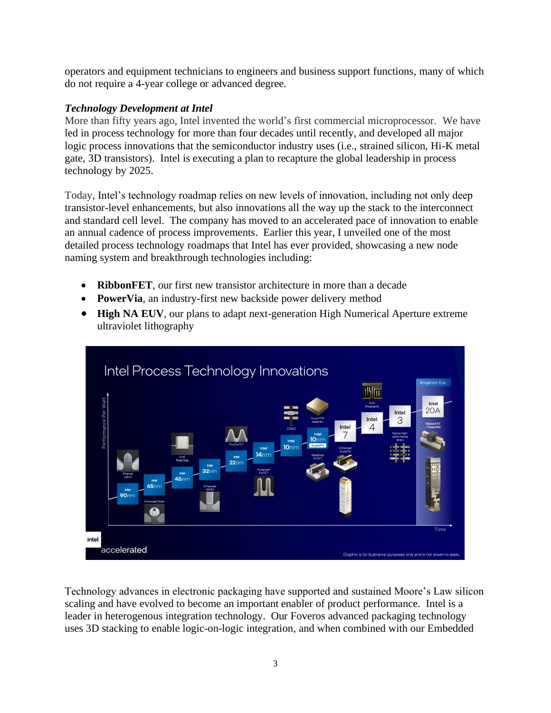operators and equipment technicians to engineers and business support functions, many of which do not require a 4-year college or advanced degree.

## *Technology Development at Intel*

More than fifty years ago, Intel invented the world's first commercial microprocessor. We have led in process technology for more than four decades until recently, and developed all major logic process innovations that the semiconductor industry uses (i.e., strained silicon, Hi-K metal gate, 3D transistors). Intel is executing a plan to recapture the global leadership in process technology by 2025.

Today, Intel's technology roadmap relies on new levels of innovation, including not only deep transistor-level enhancements, but also innovations all the way up the stack to the interconnect and standard cell level. The company has moved to an accelerated pace of innovation to enable an annual cadence of process improvements. Earlier this year, I unveiled one of the most detailed process technology roadmaps that Intel has ever provided, showcasing a new node naming system and breakthrough technologies including:

- **RibbonFET**, our first new transistor architecture in more than a decade
- **PowerVia**, an industry-first new backside power delivery method
- **High NA EUV**, our plans to adapt next-generation High Numerical Aperture extreme ultraviolet lithography



Technology advances in electronic packaging have supported and sustained Moore's Law silicon scaling and have evolved to become an important enabler of product performance. Intel is a leader in heterogenous integration technology. Our Foveros advanced packaging technology uses 3D stacking to enable logic-on-logic integration, and when combined with our Embedded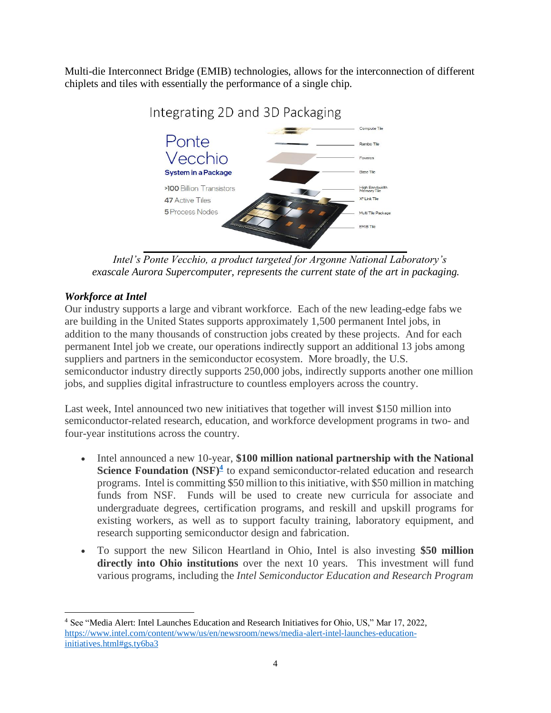Multi-die Interconnect Bridge (EMIB) technologies, allows for the interconnection of different chiplets and tiles with essentially the performance of a single chip.



Integrating 2D and 3D Packaging

*Intel's Ponte Vecchio, a product targeted for Argonne National Laboratory's exascale Aurora Supercomputer, represents the current state of the art in packaging.* 

## *Workforce at Intel*

Our industry supports a large and vibrant workforce. Each of the new leading-edge fabs we are building in the United States supports approximately 1,500 permanent Intel jobs, in addition to the many thousands of construction jobs created by these projects. And for each permanent Intel job we create, our operations indirectly support an additional 13 jobs among suppliers and partners in the semiconductor ecosystem. More broadly, the U.S. semiconductor industry directly supports 250,000 jobs, indirectly supports another one million jobs, and supplies digital infrastructure to countless employers across the country.

Last week, Intel announced two new initiatives that together will invest \$150 million into semiconductor-related research, education, and workforce development programs in two- and four-year institutions across the country.

- Intel announced a new 10-year, **\$100 million national partnership with the National Science Foundation (NSF)<sup>4</sup>** to expand semiconductor-related education and research programs. Intel is committing \$50 million to this initiative, with \$50 million in matching funds from NSF. Funds will be used to create new curricula for associate and undergraduate degrees, certification programs, and reskill and upskill programs for existing workers, as well as to support faculty training, laboratory equipment, and research supporting semiconductor design and fabrication.
- To support the new Silicon Heartland in Ohio, Intel is also investing **\$50 million directly into Ohio institutions** over the next 10 years. This investment will fund various programs, including the *Intel Semiconductor Education and Research Program*

<sup>4</sup> See "Media Alert: Intel Launches Education and Research Initiatives for Ohio, US," Mar 17, 2022, [https://www.intel.com/content/www/us/en/newsroom/news/media-alert-intel-launches-education](https://www.intel.com/content/www/us/en/newsroom/news/media-alert-intel-launches-education-initiatives.html#gs.ty6ba3)[initiatives.html#gs.ty6ba3](https://www.intel.com/content/www/us/en/newsroom/news/media-alert-intel-launches-education-initiatives.html#gs.ty6ba3)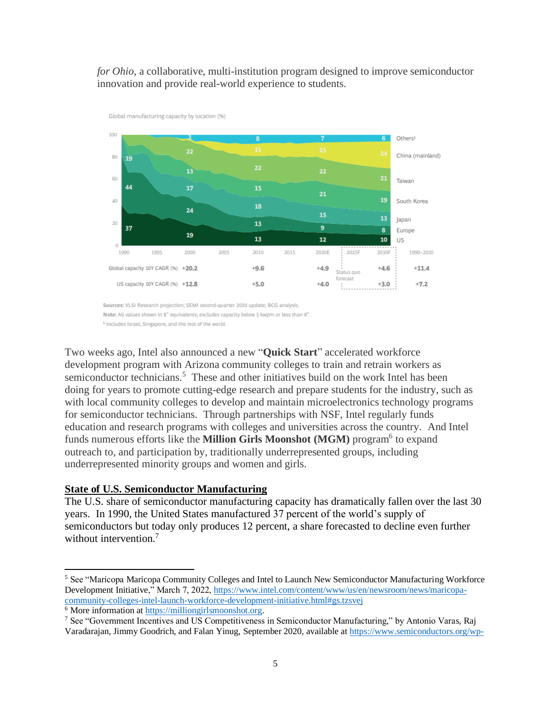#### *for Ohio*, a collaborative, multi-institution program designed to improve semiconductor innovation and provide real-world experience to students.



Sources: VLSI Research projection; SEMI second-quarter 2020 update; BCG analysis.

Note: All values shown in 8" equivalents; excludes capacity below 5 kwpm or less than 8".

<sup>1</sup>-Includes Israel, Singapore, and the rest of the world.

Global manufacturing capacity by location (%)

Two weeks ago, Intel also announced a new "**Quick Start**" accelerated workforce development program with Arizona community colleges to train and retrain workers as semiconductor technicians.<sup>5</sup> These and other initiatives build on the work Intel has been doing for years to promote cutting-edge research and prepare students for the industry, such as with local community colleges to develop and maintain microelectronics technology programs for semiconductor technicians. Through partnerships with NSF, Intel regularly funds education and research programs with colleges and universities across the country. And Intel funds numerous efforts like the **Million Girls Moonshot (MGM)** program<sup>6</sup> to expand outreach to, and participation by, traditionally underrepresented groups, including underrepresented minority groups and women and girls.

#### **State of U.S. Semiconductor Manufacturing**

The U.S. share of semiconductor manufacturing capacity has dramatically fallen over the last 30 years. In 1990, the United States manufactured 37 percent of the world's supply of semiconductors but today only produces 12 percent, a share forecasted to decline even further without intervention.<sup>7</sup>

<sup>5</sup> See "Maricopa Maricopa Community Colleges and Intel to Launch New Semiconductor Manufacturing Workforce Development Initiative," March 7, 2022[, https://www.intel.com/content/www/us/en/newsroom/news/maricopa](https://www.intel.com/content/www/us/en/newsroom/news/maricopa-community-colleges-intel-launch-workforce-development-initiative.html#gs.tzsvej)[community-colleges-intel-launch-workforce-development-initiative.html#gs.tzsvej](https://www.intel.com/content/www/us/en/newsroom/news/maricopa-community-colleges-intel-launch-workforce-development-initiative.html#gs.tzsvej)

<sup>&</sup>lt;sup>6</sup> More information a[t https://milliongirlsmoonshot.org.](https://milliongirlsmoonshot.org/)

<sup>7</sup> See "Government Incentives and US Competitiveness in Semiconductor Manufacturing," by Antonio Varas, Raj Varadarajan, Jimmy Goodrich, and Falan Yinug, September 2020, available a[t https://www.semiconductors.org/wp-](https://www.semiconductors.org/wp-content/uploads/2020/09/Government-Incentives-and-US-Competitiveness-in-Semiconductor-Manufacturing-Sep-2020.pdf)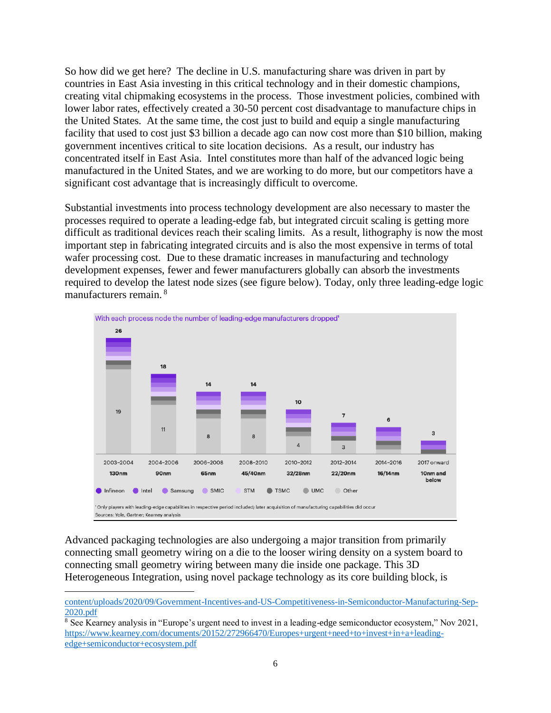So how did we get here? The decline in U.S. manufacturing share was driven in part by countries in East Asia investing in this critical technology and in their domestic champions, creating vital chipmaking ecosystems in the process. Those investment policies, combined with lower labor rates, effectively created a 30-50 percent cost disadvantage to manufacture chips in the United States. At the same time, the cost just to build and equip a single manufacturing facility that used to cost just \$3 billion a decade ago can now cost more than \$10 billion, making government incentives critical to site location decisions. As a result, our industry has concentrated itself in East Asia. Intel constitutes more than half of the advanced logic being manufactured in the United States, and we are working to do more, but our competitors have a significant cost advantage that is increasingly difficult to overcome.

Substantial investments into process technology development are also necessary to master the processes required to operate a leading-edge fab, but integrated circuit scaling is getting more difficult as traditional devices reach their scaling limits. As a result, lithography is now the most important step in fabricating integrated circuits and is also the most expensive in terms of total wafer processing cost. Due to these dramatic increases in manufacturing and technology development expenses, fewer and fewer manufacturers globally can absorb the investments required to develop the latest node sizes (see figure below). Today, only three leading-edge logic manufacturers remain. <sup>8</sup>



Advanced packaging technologies are also undergoing a major transition from primarily connecting small geometry wiring on a die to the looser wiring density on a system board to connecting small geometry wiring between many die inside one package. This 3D Heterogeneous Integration, using novel package technology as its core building block, is

[content/uploads/2020/09/Government-Incentives-and-US-Competitiveness-in-Semiconductor-Manufacturing-Sep-](https://www.semiconductors.org/wp-content/uploads/2020/09/Government-Incentives-and-US-Competitiveness-in-Semiconductor-Manufacturing-Sep-2020.pdf)[2020.pdf](https://www.semiconductors.org/wp-content/uploads/2020/09/Government-Incentives-and-US-Competitiveness-in-Semiconductor-Manufacturing-Sep-2020.pdf)

<sup>&</sup>lt;sup>8</sup> See Kearney analysis in "Europe's urgent need to invest in a leading-edge semiconductor ecosystem," Nov 2021, [https://www.kearney.com/documents/20152/272966470/Europes+urgent+need+to+invest+in+a+leading](https://www.kearney.com/documents/20152/272966470/Europes+urgent+need+to+invest+in+a+leading-edge+semiconductor+ecosystem.pdf)[edge+semiconductor+ecosystem.pdf](https://www.kearney.com/documents/20152/272966470/Europes+urgent+need+to+invest+in+a+leading-edge+semiconductor+ecosystem.pdf)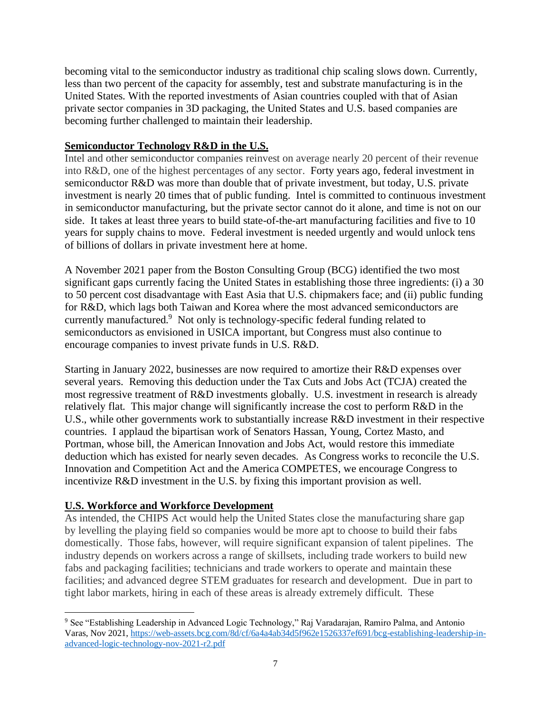becoming vital to the semiconductor industry as traditional chip scaling slows down. Currently, less than two percent of the capacity for assembly, test and substrate manufacturing is in the United States. With the reported investments of Asian countries coupled with that of Asian private sector companies in 3D packaging, the United States and U.S. based companies are becoming further challenged to maintain their leadership.

### **Semiconductor Technology R&D in the U.S.**

Intel and other semiconductor companies reinvest on average nearly 20 percent of their revenue into R&D, one of the highest percentages of any sector. Forty years ago, federal investment in semiconductor R&D was more than double that of private investment, but today, U.S. private investment is nearly 20 times that of public funding. Intel is committed to continuous investment in semiconductor manufacturing, but the private sector cannot do it alone, and time is not on our side. It takes at least three years to build state-of-the-art manufacturing facilities and five to 10 years for supply chains to move. Federal investment is needed urgently and would unlock tens of billions of dollars in private investment here at home.

A November 2021 paper from the Boston Consulting Group (BCG) identified the two most significant gaps currently facing the United States in establishing those three ingredients: (i) a 30 to 50 percent cost disadvantage with East Asia that U.S. chipmakers face; and (ii) public funding for R&D, which lags both Taiwan and Korea where the most advanced semiconductors are currently manufactured.<sup>9</sup> Not only is technology-specific federal funding related to semiconductors as envisioned in USICA important, but Congress must also continue to encourage companies to invest private funds in U.S. R&D.

Starting in January 2022, businesses are now required to amortize their R&D expenses over several years. Removing this deduction under the Tax Cuts and Jobs Act (TCJA) created the most regressive treatment of R&D investments globally. U.S. investment in research is already relatively flat. This major change will significantly increase the cost to perform R&D in the U.S., while other governments work to substantially increase R&D investment in their respective countries. I applaud the bipartisan work of Senators Hassan, Young, Cortez Masto, and Portman, whose bill, the American Innovation and Jobs Act, would restore this immediate deduction which has existed for nearly seven decades. As Congress works to reconcile the U.S. Innovation and Competition Act and the America COMPETES, we encourage Congress to incentivize R&D investment in the U.S. by fixing this important provision as well.

## **U.S. Workforce and Workforce Development**

As intended, the CHIPS Act would help the United States close the manufacturing share gap by levelling the playing field so companies would be more apt to choose to build their fabs domestically. Those fabs, however, will require significant expansion of talent pipelines. The industry depends on workers across a range of skillsets, including trade workers to build new fabs and packaging facilities; technicians and trade workers to operate and maintain these facilities; and advanced degree STEM graduates for research and development. Due in part to tight labor markets, hiring in each of these areas is already extremely difficult. These

<sup>9</sup> See "Establishing Leadership in Advanced Logic Technology," Raj Varadarajan, Ramiro Palma, and Antonio Varas, Nov 2021, [https://web-assets.bcg.com/8d/cf/6a4a4ab34d5f962e1526337ef691/bcg-establishing-leadership-in](https://web-assets.bcg.com/8d/cf/6a4a4ab34d5f962e1526337ef691/bcg-establishing-leadership-in-advanced-logic-technology-nov-2021-r2.pdf)[advanced-logic-technology-nov-2021-r2.pdf](https://web-assets.bcg.com/8d/cf/6a4a4ab34d5f962e1526337ef691/bcg-establishing-leadership-in-advanced-logic-technology-nov-2021-r2.pdf)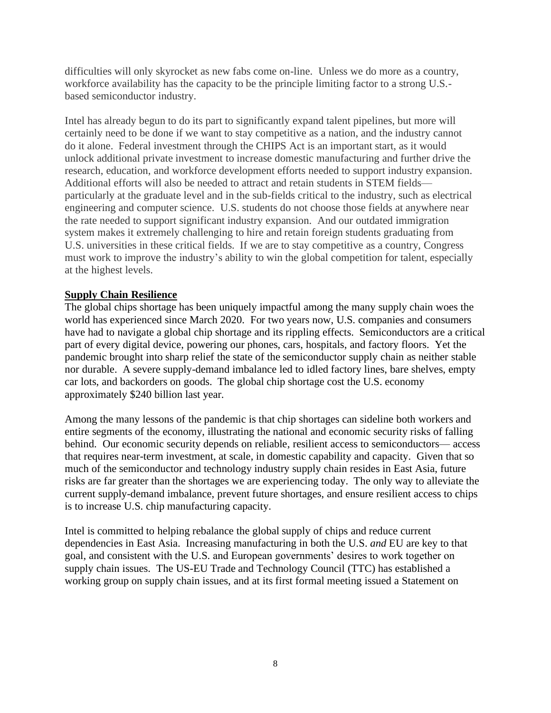difficulties will only skyrocket as new fabs come on-line. Unless we do more as a country, workforce availability has the capacity to be the principle limiting factor to a strong U.S. based semiconductor industry.

Intel has already begun to do its part to significantly expand talent pipelines, but more will certainly need to be done if we want to stay competitive as a nation, and the industry cannot do it alone. Federal investment through the CHIPS Act is an important start, as it would unlock additional private investment to increase domestic manufacturing and further drive the research, education, and workforce development efforts needed to support industry expansion. Additional efforts will also be needed to attract and retain students in STEM fields particularly at the graduate level and in the sub-fields critical to the industry, such as electrical engineering and computer science. U.S. students do not choose those fields at anywhere near the rate needed to support significant industry expansion. And our outdated immigration system makes it extremely challenging to hire and retain foreign students graduating from U.S. universities in these critical fields. If we are to stay competitive as a country, Congress must work to improve the industry's ability to win the global competition for talent, especially at the highest levels.

### **Supply Chain Resilience**

The global chips shortage has been uniquely impactful among the many supply chain woes the world has experienced since March 2020. For two years now, U.S. companies and consumers have had to navigate a global chip shortage and its rippling effects. Semiconductors are a critical part of every digital device, powering our phones, cars, hospitals, and factory floors. Yet the pandemic brought into sharp relief the state of the semiconductor supply chain as neither stable nor durable. A severe supply-demand imbalance led to idled factory lines, bare shelves, empty car lots, and backorders on goods. The global chip shortage cost the U.S. economy approximately \$240 billion last year.

Among the many lessons of the pandemic is that chip shortages can sideline both workers and entire segments of the economy, illustrating the national and economic security risks of falling behind. Our economic security depends on reliable, resilient access to semiconductors— access that requires near-term investment, at scale, in domestic capability and capacity. Given that so much of the semiconductor and technology industry supply chain resides in East Asia, future risks are far greater than the shortages we are experiencing today. The only way to alleviate the current supply-demand imbalance, prevent future shortages, and ensure resilient access to chips is to increase U.S. chip manufacturing capacity.

Intel is committed to helping rebalance the global supply of chips and reduce current dependencies in East Asia. Increasing manufacturing in both the U.S. *and* EU are key to that goal, and consistent with the U.S. and European governments' desires to work together on supply chain issues. The US-EU Trade and Technology Council (TTC) has established a working group on supply chain issues, and at its first formal meeting issued a Statement on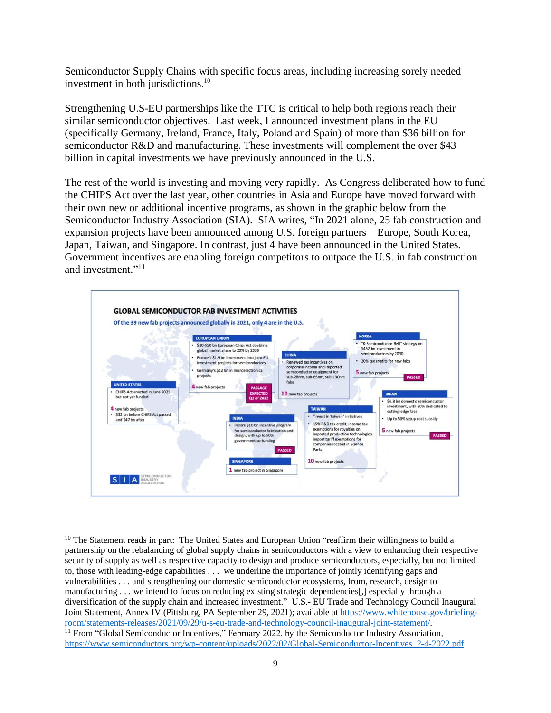Semiconductor Supply Chains with specific focus areas, including increasing sorely needed investment in both jurisdictions. 10

Strengthening U.S-EU partnerships like the TTC is critical to help both regions reach their similar semiconductor objectives. Last week, I announced investment plans in the EU (specifically Germany, Ireland, France, Italy, Poland and Spain) of more than \$36 billion for semiconductor R&D and manufacturing. These investments will complement the over \$43 billion in capital investments we have previously announced in the U.S.

The rest of the world is investing and moving very rapidly. As Congress deliberated how to fund the CHIPS Act over the last year, other countries in Asia and Europe have moved forward with their own new or additional incentive programs, as shown in the graphic below from the Semiconductor Industry Association (SIA). SIA writes, "In 2021 alone, 25 fab construction and expansion projects have been announced among U.S. foreign partners – Europe, South Korea, Japan, Taiwan, and Singapore. In contrast, just 4 have been announced in the United States. Government incentives are enabling foreign competitors to outpace the U.S. in fab construction and investment."<sup>11</sup>



<sup>&</sup>lt;sup>10</sup> The Statement reads in part: The United States and European Union "reaffirm their willingness to build a partnership on the rebalancing of global supply chains in semiconductors with a view to enhancing their respective security of supply as well as respective capacity to design and produce semiconductors, especially, but not limited to, those with leading-edge capabilities . . . we underline the importance of jointly identifying gaps and vulnerabilities . . . and strengthening our domestic semiconductor ecosystems, from, research, design to manufacturing . . . we intend to focus on reducing existing strategic dependencies[,] especially through a diversification of the supply chain and increased investment." U.S.- EU Trade and Technology Council Inaugural Joint Statement, Annex IV (Pittsburg, PA September 29, 2021); available at [https://www.whitehouse.gov/briefing](https://www.whitehouse.gov/briefing-room/statements-releases/2021/09/29/u-s-eu-trade-and-technology-council-inaugural-joint-statement/)[room/statements-releases/2021/09/29/u-s-eu-trade-and-technology-council-inaugural-joint-statement/.](https://www.whitehouse.gov/briefing-room/statements-releases/2021/09/29/u-s-eu-trade-and-technology-council-inaugural-joint-statement/) <sup>11</sup> From "Global Semiconductor Incentives," February 2022, by the Semiconductor Industry Association, [https://www.semiconductors.org/wp-content/uploads/2022/02/Global-Semiconductor-Incentives\\_2-4-2022.pdf](https://www.semiconductors.org/wp-content/uploads/2022/02/Global-Semiconductor-Incentives_2-4-2022.pdf)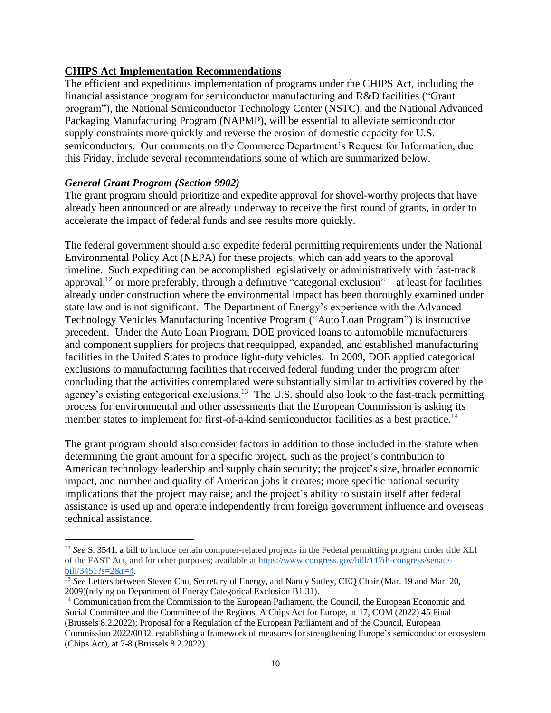## **CHIPS Act Implementation Recommendations**

The efficient and expeditious implementation of programs under the CHIPS Act, including the financial assistance program for semiconductor manufacturing and R&D facilities ("Grant program"), the National Semiconductor Technology Center (NSTC), and the National Advanced Packaging Manufacturing Program (NAPMP), will be essential to alleviate semiconductor supply constraints more quickly and reverse the erosion of domestic capacity for U.S. semiconductors. Our comments on the Commerce Department's Request for Information, due this Friday, include several recommendations some of which are summarized below.

## *General Grant Program (Section 9902)*

The grant program should prioritize and expedite approval for shovel-worthy projects that have already been announced or are already underway to receive the first round of grants, in order to accelerate the impact of federal funds and see results more quickly.

The federal government should also expedite federal permitting requirements under the National Environmental Policy Act (NEPA) for these projects, which can add years to the approval timeline. Such expediting can be accomplished legislatively or administratively with fast-track approval,<sup>12</sup> or more preferably, through a definitive "categorial exclusion"—at least for facilities already under construction where the environmental impact has been thoroughly examined under state law and is not significant. The Department of Energy's experience with the Advanced Technology Vehicles Manufacturing Incentive Program ("Auto Loan Program") is instructive precedent. Under the Auto Loan Program, DOE provided loans to automobile manufacturers and component suppliers for projects that reequipped, expanded, and established manufacturing facilities in the United States to produce light-duty vehicles. In 2009, DOE applied categorical exclusions to manufacturing facilities that received federal funding under the program after concluding that the activities contemplated were substantially similar to activities covered by the agency's existing categorical exclusions.<sup>13</sup> The U.S. should also look to the fast-track permitting process for environmental and other assessments that the European Commission is asking its member states to implement for first-of-a-kind semiconductor facilities as a best practice.<sup>14</sup>

The grant program should also consider factors in addition to those included in the statute when determining the grant amount for a specific project, such as the project's contribution to American technology leadership and supply chain security; the project's size, broader economic impact, and number and quality of American jobs it creates; more specific national security implications that the project may raise; and the project's ability to sustain itself after federal assistance is used up and operate independently from foreign government influence and overseas technical assistance.

<sup>&</sup>lt;sup>12</sup> See S. 3541, a bill to include certain computer-related projects in the Federal permitting program under title XLI of the FAST Act, and for other purposes; available at [https://www.congress.gov/bill/117th-congress/senate](https://www.congress.gov/bill/117th-congress/senate-bill/3451?s=2&r=4)[bill/3451?s=2&r=4.](https://www.congress.gov/bill/117th-congress/senate-bill/3451?s=2&r=4)

<sup>&</sup>lt;sup>13</sup> See Letters between Steven Chu, Secretary of Energy, and Nancy Sutley, CEQ Chair (Mar. 19 and Mar. 20, 2009)(relying on Department of Energy Categorical Exclusion B1.31).

<sup>&</sup>lt;sup>14</sup> Communication from the Commission to the European Parliament, the Council, the European Economic and Social Committee and the Committee of the Regions, A Chips Act for Europe, at 17, COM (2022) 45 Final (Brussels 8.2.2022); Proposal for a Regulation of the European Parliament and of the Council, European Commission 2022/0032, establishing a framework of measures for strengthening Europe's semiconductor ecosystem (Chips Act), at 7-8 (Brussels 8.2.2022).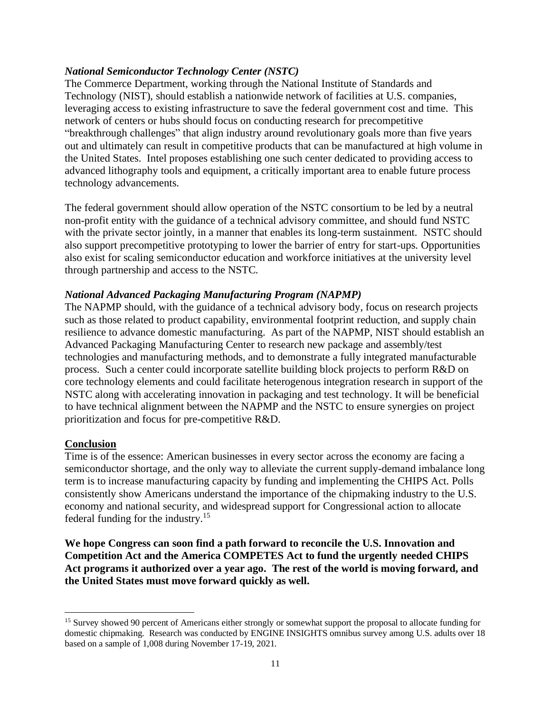### *National Semiconductor Technology Center (NSTC)*

The Commerce Department, working through the National Institute of Standards and Technology (NIST), should establish a nationwide network of facilities at U.S. companies, leveraging access to existing infrastructure to save the federal government cost and time. This network of centers or hubs should focus on conducting research for precompetitive "breakthrough challenges" that align industry around revolutionary goals more than five years out and ultimately can result in competitive products that can be manufactured at high volume in the United States. Intel proposes establishing one such center dedicated to providing access to advanced lithography tools and equipment, a critically important area to enable future process technology advancements.

The federal government should allow operation of the NSTC consortium to be led by a neutral non-profit entity with the guidance of a technical advisory committee, and should fund NSTC with the private sector jointly, in a manner that enables its long-term sustainment. NSTC should also support precompetitive prototyping to lower the barrier of entry for start-ups. Opportunities also exist for scaling semiconductor education and workforce initiatives at the university level through partnership and access to the NSTC.

### *National Advanced Packaging Manufacturing Program (NAPMP)*

The NAPMP should, with the guidance of a technical advisory body, focus on research projects such as those related to product capability, environmental footprint reduction, and supply chain resilience to advance domestic manufacturing. As part of the NAPMP, NIST should establish an Advanced Packaging Manufacturing Center to research new package and assembly/test technologies and manufacturing methods, and to demonstrate a fully integrated manufacturable process. Such a center could incorporate satellite building block projects to perform R&D on core technology elements and could facilitate heterogenous integration research in support of the NSTC along with accelerating innovation in packaging and test technology. It will be beneficial to have technical alignment between the NAPMP and the NSTC to ensure synergies on project prioritization and focus for pre-competitive R&D.

#### **Conclusion**

Time is of the essence: American businesses in every sector across the economy are facing a semiconductor shortage, and the only way to alleviate the current supply-demand imbalance long term is to increase manufacturing capacity by funding and implementing the CHIPS Act. Polls consistently show Americans understand the importance of the chipmaking industry to the U.S. economy and national security, and widespread support for Congressional action to allocate federal funding for the industry.<sup>15</sup>

**We hope Congress can soon find a path forward to reconcile the U.S. Innovation and Competition Act and the America COMPETES Act to fund the urgently needed CHIPS Act programs it authorized over a year ago. The rest of the world is moving forward, and the United States must move forward quickly as well.**

<sup>&</sup>lt;sup>15</sup> Survey showed 90 percent of Americans either strongly or somewhat support the proposal to allocate funding for domestic chipmaking. Research was conducted by ENGINE INSIGHTS omnibus survey among U.S. adults over 18 based on a sample of 1,008 during November 17-19, 2021.